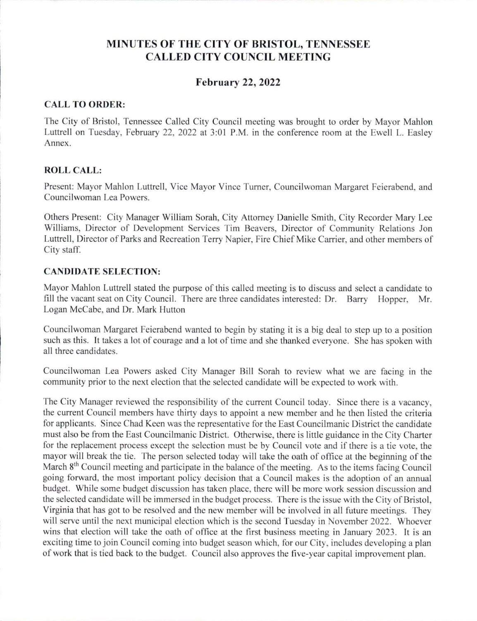# **MINUTES OF THE CITY OF BRISTOL, TENNESSEE CALLED CITY COUNCIL MEETING**

# **February 22, 2022**

## **CALL TO ORDER:**

The City of Bristol, Tennessee Called City Council meeting was brought to order by Mayor Mahlon Luttrell on Tuesday, February 22, 2022 at 3:01 P.M. in the conference room at the Ewell L. Easley Annex.

### **ROLL CALL:**

Present: Mayor Mahlon Luttrell, Vice Mayor Vince Turner, Councilwoman Margaret Feierabend, and Councilwoman Lea Powers.

Others Present: City Manager William Sorah, City Attorney Danielle Smith, City Recorder Mary Lee Williams, Director of Development Services Tim Beavers, Director of Community Relations Jon Luttrell, Director of Parks and Recreation Terry Napier, Fire Chief Mike Carrier, and other members of City staff.

#### **CANDIDATE SELECTION:**

Mayor Mahlon Luttrell stated the purpose of this called meeting is to discuss and select a candidate to fill the vacant seat on City Council. There are three candidates interested: Dr. Barry Hopper, Mr. Logan McCabe, and Dr. Mark Hutton

Councilwoman Margaret Feierabend wanted to begin by stating it is a big deal to step up to a position such as this. It takes a lot of courage and a lot of time and she thanked everyone. She has spoken with all three candidates.

Councilwoman Lea Powers asked City Manager Bill Sorah to review what we are facing in the community prior to the next election that the selected candidate will be expected to work with.

The City Manager reviewed the responsibility of the current Council today. Since there is a vacancy, the current Council members have thirty days to appoint a new member and he then listed the criteria for applicants. Since Chad Keen was the representative for the East Councilmanic District the candidate must also be from the East Councilmanic District. Otherwise, there is little guidance in the City Charter for the replacement process except the selection must be by Council vote and if there is a tie vote, the mayor will break the tie. The person selected today will take the oath of office at the beginning of the March 8<sup>th</sup> Council meeting and participate in the balance of the meeting. As to the items facing Council going forward, the most important policy decision that a Council makes is the adoption of an annual budget. While some budget discussion has taken place, there will be more work session discussion and the selected candidate will be immersed in the budget process. There is the issue with the City of Bristol, Virginia that has got to be resolved and the new member will be involved in all future meetings. They will serve until the next municipal election which is the second Tuesday in November 2022. Whoever wins that election will take the oath of office at the first business meeting in January 2023. It is an exciting time to join Council coming into budget season which, for our City, includes developing a plan of work that is tied back to the budget. Council also approves the five-year capital improvement plan.